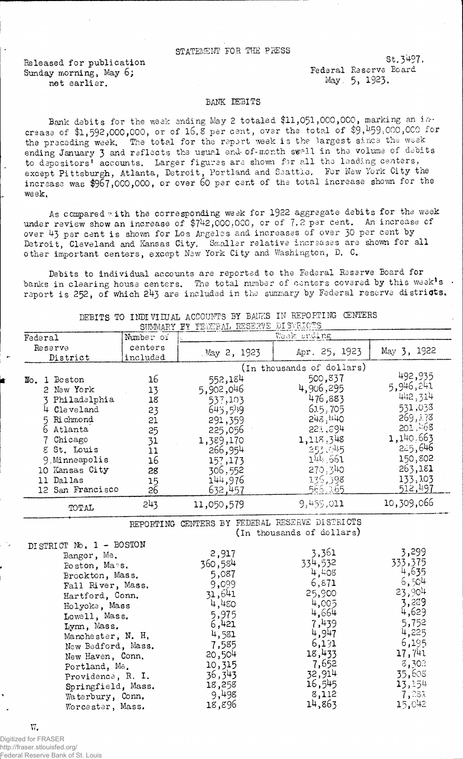## statement for the press

Released for publication Sunday morning, May 6; net earlier.

St.3497. Federal Reserve Eoard May. 5, 1923.

## BANK DEBITS

Bank debits for the week ending May 2 totaled \$11,051,000,000, marking an increase of  $1,592,000,000$ , or of  $16.8$  per cent, over the total of  $9,459,000,000$  for the preceding week, The total for the report week is the largest since the week ending January 3 and reflects the usual end- of-month swell in the volume of debits to depositors' accounts. Larger figures are shown for all the leading centers, except Pittsburgh, Atlanta, Detroit, Portland and Seattle. For New York City the increase was \$967,000,000, or over 60 per cent of the total increase shown for the week.

As compared with the corresponding week for 1922 aggregate debits for the week under review show an increase of \$742,000,000, or of 7.2 per cent. An increase of over 43 per cent is shown for Los Angeles and increases of over 30 per cent by Detroit, Cleveland and Kansas City, Smaller relative increases are shown for all other important centers, except New York City and Washington, D. C.

Debits to individual accounts are reported to the Federal Reserve Board for banks in clearing house centers. The total number of centers covered by this week's  $\cdot$ report is 252, of which 243 are included in the summary by Federal reserve districts.

| Federal                                                                                                                                                                                              | <b>OUTAINTEL</b><br>Number of                                        | TEL TIPININAN TANGANG S<br>ال ۱٬۰۰۰٬۰۰۰٬۰۰۰٬۰۰۰٬۰۰۰٬۰۰۰٬۰۰۰٬۰۰<br>Week ending                                                        |                                                                                                                                      |                                                                                                                                       |
|------------------------------------------------------------------------------------------------------------------------------------------------------------------------------------------------------|----------------------------------------------------------------------|--------------------------------------------------------------------------------------------------------------------------------------|--------------------------------------------------------------------------------------------------------------------------------------|---------------------------------------------------------------------------------------------------------------------------------------|
| Reserve<br>District                                                                                                                                                                                  | centers<br>included                                                  | May 2, 1923                                                                                                                          | Apr. 25, 1923                                                                                                                        | May 3, 1922                                                                                                                           |
|                                                                                                                                                                                                      |                                                                      | (In thousands of dollars)                                                                                                            |                                                                                                                                      |                                                                                                                                       |
| Boston<br>$\mathbb{D}$ o. 1<br>2 New York<br>3 Philadelphia<br>4 Cleveland<br>5 Richmond<br>6 Atlanta<br>Chicago<br>8 St. Louis<br>9. Minneapolis<br>10 Kansas City<br>11 Dallas<br>12 San Francisco | 16<br>13<br>18<br>23<br>21<br>25<br>31<br>11<br>16<br>28<br>15<br>26 | 552,184<br>5,902,046<br>537,103<br>645,519<br>291,359<br>225,056<br>1,389,170<br>266,954<br>157,173<br>306,552<br>144,976<br>632,457 | 500,837<br>4,906,295<br>476,883<br>615,705<br>243,140<br>221,894<br>1,118,348<br>253.045<br>144 661<br>270,340<br>136,398<br>566.165 | 492,935<br>5,946,241<br>442,314<br>531,033<br>269,178<br>201.468<br>1,140.663<br>225,646<br>150,802<br>263,181<br>133, 103<br>512,497 |
| TOTAL                                                                                                                                                                                                | 243                                                                  | 11,050,579                                                                                                                           | 9,459,011                                                                                                                            | 10,309,066                                                                                                                            |
|                                                                                                                                                                                                      |                                                                      | <u>רו הרבות הדרי</u> ידיה                                                                                                            | מחמידות מיוחדות הזווח המספרו                                                                                                         |                                                                                                                                       |

DEBITS TO INDIVILUAL ACCOUNTS BY BANKS IN REPORTING CENTERS SUMMARY IN THE SUMMARY AT DESCRIPTION AT STREAMS

REPORTING CENTERS BY FEDERAL RESERVE DISTRICTS

(in thousands of dollars)

| DISTRICT No. 1 - BOSTON |         |         |         |
|-------------------------|---------|---------|---------|
| Bangor, Me.             | 2,917   | 3,361   | 3,299   |
| Boston, Mass.           | 360,584 | 334,532 | 333,375 |
| Brockton, Mass.         | 5,087   | 4.408   | 4,635   |
| Fall River, Mass.       | 9,099   | 6,871   | 6,504   |
| Hartford, Conn.         | 31,641  | 25,900  | 23,904  |
| Holyoke, Mass           | 4,480   | 4,005   | 3,289   |
| Lowell, Mass.           | 5,975   | 4,664   | 4,629   |
| Lynn, Mass.             | 6,421   | 7,439   | 5,752   |
| Manchester, N. H.       | 4,581   | 4,947   | 4,225   |
| New Bedford, Mass.      | 7,585   | 6,191   | 6,195   |
| New Haven, Conn.        | 20,504  | 18,433  | 17,741  |
| Portland, Me.           | 10,315  | 7,652   | 8,302   |
| Providence, R. I.       | 36,343  | 32,914  | 35,608  |
| Springfield, Mass.      | 18,258  | 16,545  | 13,154  |
| Waterbury, Conn.        | 9,498   | 8,112   | 7,281   |
| Worcester, Mass.        | 18,896  | 14,863  | 15,042  |

W.

Digitized for FRASER http://fraser.stlouisfed.org/ Federal Reserve Bank of St. Louis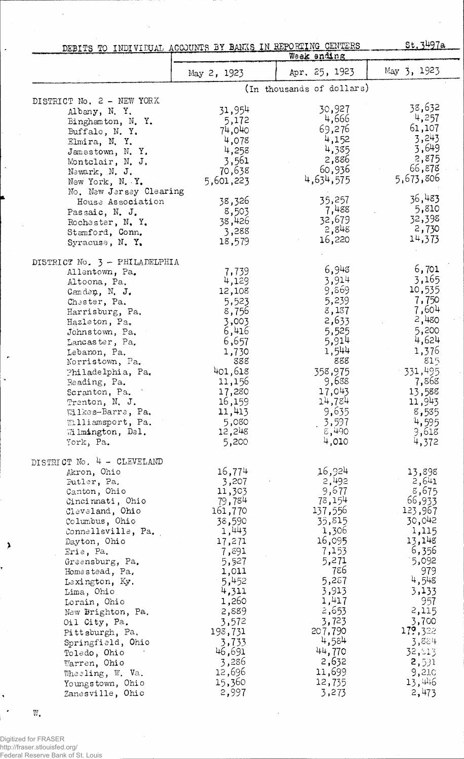|                                                                                                                                                                                                                                                                                                                                                                                                                                                     | St.3497a<br>DEBITS TO INDIVIDUAL ACCOUNTS BY BANKS IN REPORTING CENTERS<br>Week anding                                                                                                                                  |                                                                                                                                                                                                                      |                                                                                                                                                                                                                   |  |
|-----------------------------------------------------------------------------------------------------------------------------------------------------------------------------------------------------------------------------------------------------------------------------------------------------------------------------------------------------------------------------------------------------------------------------------------------------|-------------------------------------------------------------------------------------------------------------------------------------------------------------------------------------------------------------------------|----------------------------------------------------------------------------------------------------------------------------------------------------------------------------------------------------------------------|-------------------------------------------------------------------------------------------------------------------------------------------------------------------------------------------------------------------|--|
|                                                                                                                                                                                                                                                                                                                                                                                                                                                     | May 2, 1923                                                                                                                                                                                                             | Apr. 25, 1923                                                                                                                                                                                                        | May $3, 1923$                                                                                                                                                                                                     |  |
|                                                                                                                                                                                                                                                                                                                                                                                                                                                     |                                                                                                                                                                                                                         | (In thousands of dollars)                                                                                                                                                                                            |                                                                                                                                                                                                                   |  |
| DISTRICT No. 2 - NEW YORK<br>Albany, N.Y.<br>Binghamton, N.Y.<br>Buffalo, N.Y.<br>Elmira, N.Y.<br>Jamestown, N.Y.<br>Montclair, N. J.<br>Newark, N. J.<br>New York, N. Y.<br>No. New Jersey Clearing<br>House Association                                                                                                                                                                                                                           | 31,954<br>5,172<br>74,040<br>4,078<br>4,258<br>3,561<br>70,638<br>5,601,223<br>38,326                                                                                                                                   | 30,927<br>4,666<br>69,276<br>4,152<br>4,385<br>2,886<br>60,936<br>4,634,575<br>35,257                                                                                                                                | 38,632<br>4,257<br>61,107<br>3,243<br>3,649<br>2,875<br>66,878<br>5,673,806<br>36,483                                                                                                                             |  |
| Passaic, N. J.<br>Rochester, N.Y.<br>Stamford, Conn.<br>Syracuse, N. Y.                                                                                                                                                                                                                                                                                                                                                                             | 8,503<br>38,426<br>3,288<br>18,579                                                                                                                                                                                      | 7,488<br>32,679<br>2,848<br>16,220                                                                                                                                                                                   | 5,810<br>32,398<br>2,730<br>14,373                                                                                                                                                                                |  |
| DISTRICT No. 3 - PHILADELPHIA<br>Allentown, Pa.<br>Altoona, Pa.<br>Camden, N. J.<br>Chester, Pa.<br>Harrisburg, Pa.<br>Hazleton, Pa.<br>Johnstown, Pa.<br>Lancaster, Pa.<br>Lebanon, Pa.<br>Norristown, Pa.<br>Philadelphia, Pa.<br>Reading, Pa.<br>Scranton, Pa.<br>Trenton, N. J.<br>Wilkes-Barre, Pa.<br>Williamsport, Pa.<br>Wilmington, Del.<br>York, Pa.                                                                                      | 7,739<br>4,129<br>12,108<br>5,523<br>8,756<br>3,003<br>6,416<br>6,657<br>1,730<br>888<br>401,618<br>11,156<br>17,280<br>16,159<br>11,413<br>5,080<br>12,248<br>5,200                                                    | 6,948<br>3,914<br>9,869<br>5,239<br>8,187<br>2,633<br>5,525<br>5,914<br>1,544<br>888<br>358,975<br>9,688<br>17,043<br>14,784<br>9,635<br>3,597<br>$\epsilon$ ,490<br>4,010                                           | 6,701<br>3,165<br>10,535<br>7,750<br>7,604<br>2,480<br>5,200<br>4,624<br>1,376<br>815<br>331,495<br>7,868<br>13,588<br>11,943<br>8,535<br>4,595<br>3,618<br>4,372                                                 |  |
| DISTRICT No. 4 - CLEVELAND<br>Akron, Ohio<br>Futler, Pa.<br>Canton, Ohio<br>Cincinnati, Ohio<br>Cleveland, Ohio<br>Columbus, Ohio<br>Connellsville, Pa.<br>Dayton, Ohio<br>Erie, Pa.<br>Greensburg, Pa.<br>Homestead, Pa,<br>Lexington, Ky.<br>Lima, Ohio<br>Lorain, Ohio<br>New Brighton, Pa.<br>Oil City, Pa.<br>Pittsburgh, Pa.<br>Springfield, Ohio<br>Toledo, Ohio<br>Warren, Ohio<br>Wheeling, W. Va.<br>Youngstown, Ohio<br>Zanesville, Ohio | 16,774<br>3,207<br>11,303<br>79,784<br>161,770<br>38,590<br>1,443<br>17,271<br>7,891<br>5,527<br>1,011<br>5,452<br>4,311<br>1,260<br>2,889<br>3,572<br>198,731<br>3,733<br>46,691<br>3,286<br>12,696<br>15,360<br>2,997 | 16,924<br>2,492<br>9,677<br>78,154<br>137,556<br>35,815<br>1,306<br>16,095<br>7,153<br>5,271<br>786<br>5,257<br>3,913<br>1,417<br>2,653<br>3,723<br>207,790<br>4,584<br>44,770<br>2,632<br>11,699<br>12,735<br>3,273 | 13,898<br>2,641<br>8,675<br>66,933<br>123,967<br>30,042<br>1,115<br>13,148<br>6,356<br>5,092<br>979<br>4,548<br>3,133<br>957<br>2,115<br>3,700<br>179,322<br>3,884<br>32,813<br>2,591<br>9,210<br>13,446<br>2,473 |  |

W.

 $\ddot{\phantom{0}}$ . i<br>i

 $\ddot{\phantom{0}}$ 

 $\ddot{\phantom{0}}$ 

 $\lambda$ 

Digitized for FRASER http://fraser.stlouisfed.org/ Federal Reserve Bank of St. Louis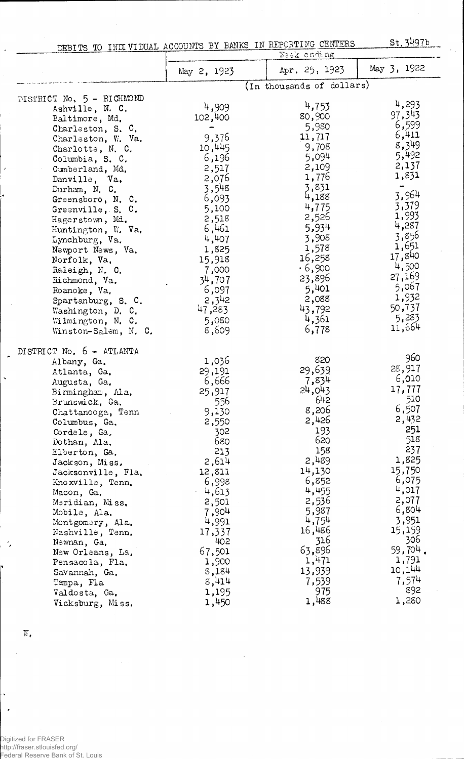DEBITS TO INDIVIDUAL ACCOUNTS BY BANKS IN REPORTING CENTERS

St. 3497b

|                                                                                                                                                                                                                                                                                                                                                                                                                                                                                            | Waak ending                                                                                                                                                                                                                 |                                                                                                                                                                                                                       |                                                                                                                                                                                                                                 |
|--------------------------------------------------------------------------------------------------------------------------------------------------------------------------------------------------------------------------------------------------------------------------------------------------------------------------------------------------------------------------------------------------------------------------------------------------------------------------------------------|-----------------------------------------------------------------------------------------------------------------------------------------------------------------------------------------------------------------------------|-----------------------------------------------------------------------------------------------------------------------------------------------------------------------------------------------------------------------|---------------------------------------------------------------------------------------------------------------------------------------------------------------------------------------------------------------------------------|
|                                                                                                                                                                                                                                                                                                                                                                                                                                                                                            | May 2, 1923                                                                                                                                                                                                                 | Apr. 25, 1923                                                                                                                                                                                                         | May 3, 1922                                                                                                                                                                                                                     |
|                                                                                                                                                                                                                                                                                                                                                                                                                                                                                            |                                                                                                                                                                                                                             | (In thousands of dollars)                                                                                                                                                                                             |                                                                                                                                                                                                                                 |
| DISTRICT No, 5 - RICHMOND<br>Ashville, N. C.<br>Baltimore, Md.<br>Charleston, S. C.<br>Charleston, W. Va.<br>Charlotte, N. C.<br>Columbia, S. C.<br>Cumberland, Md.<br>Danville, Va.<br>Durham, N. C.<br>Greensboro, N. C.<br>Greenville, S. C.<br>Hagerstown, Md.<br>Huntington, W. Va.<br>Lynchburg, Va.<br>Newport News, Va.<br>Norfolk, Va.<br>Raleigh, N. C.<br>Richmond, Va.<br>Roanoke, Va.<br>Spartanburg, S. C.<br>Washington, D. C.<br>Wilmington, N. C.<br>Winston-Salem, N. C. | 4,909<br>102,400<br>-<br>9,376<br>10,445<br>6,196<br>2,517<br>2,076<br>3,548<br>6,093<br>5,100<br>2,518<br>6,461<br>4,407<br>1,825<br>15,918<br>7,000<br>34,707<br>6,097<br>2,342<br>47,283<br>5,080<br>8,609               | 4,753<br>80,900<br>5,980<br>11,717<br>9,708<br>5,094<br>2,109<br>1,776<br>3,831<br>4,188<br>4,775<br>2,526<br>5,934<br>3,908<br>1,578<br>16,258<br>.6,900<br>23,896<br>5,401<br>2,088<br>43,792<br>4,361<br>6,778     | 4,293<br>97,343<br>6,599<br>6,411<br>8,349<br>5,492<br>2,137<br>1,831<br>$\ddot{\phantom{1}}$<br>3,964<br>3,379<br>1,993<br>4,287<br>3,856<br>1,651<br>17,840<br>4,500<br>27,169<br>5,067<br>1,932<br>50,737<br>5,283<br>11,664 |
| DISTRICT No. 6 - ATLANTA<br>Albany, Ga.<br>Atlanta, Ga.<br>Augusta, Ga.<br>Birmingham, Ala.<br>Brunswick, Ga.<br>Chattanooga, Tenn<br>Columbus, Ga.<br>Cordele, Ga.<br>Dothan, Ala.<br>Elberton, Ga.<br>Jackson, Miss,<br>Jacksonville, Fla.<br>Knoxville, Tenn.<br>Macon, Ga.<br>Meridian, Miss.<br>Mobile, Ala.<br>Montgomery, Ala.<br>Nashville, Tenn.<br>Newnan, Ga.<br>New Orleans, La.<br>Pensacola, Fla.<br>Savannah, Ga.<br>Tampa, Fla<br>Valdosta, Ga.<br>Vicksburg, Miss.        | 1,036<br>29,191<br>6,666<br>25,917<br>556<br>9,130<br>2,550<br>302<br>680<br>213<br>2,614<br>12,811<br>6,998<br>$-4,613$<br>2,501<br>7,904<br>4,991<br>17,337<br>402<br>67,501<br>1,900<br>8,184<br>8,414<br>1,195<br>1,450 | 820<br>29,639<br>7,834<br>24,043<br>642<br>8,206<br>2,426<br>193<br>620<br>158<br>2,489<br>14,130<br>6,852<br>4,455<br>2,536<br>5,987<br>4,754<br>16,486<br>316<br>63,896<br>1,471<br>13,939<br>7,539<br>975<br>1,488 | 960<br>28,917<br>6,010<br>17,777<br>510<br>6,507<br>2,432<br>251<br>518<br>237<br>1,825<br>15,750<br>6,075<br>4,017<br>2,077<br>6,804<br>3,951<br>15,159<br>306<br>59,704.<br>1,791<br>10,144<br>7,574<br>892<br>1,280          |

 $\mathbf{W}_\bullet$ 

 $\bar{\mathcal{A}}$ 

 $\hat{\boldsymbol{r}}$ 

 $\ddot{\phantom{1}}$ 

 $\ddot{\phantom{0}}$ 

 $\sim$ 

ı.

 $\hat{\textbf{v}}$  $\ddot{\phantom{a}}$ 

Digitized for FRASER<br>http://fraser.stlouisfed.org/<br>Federal Reserve Bank of St. Louis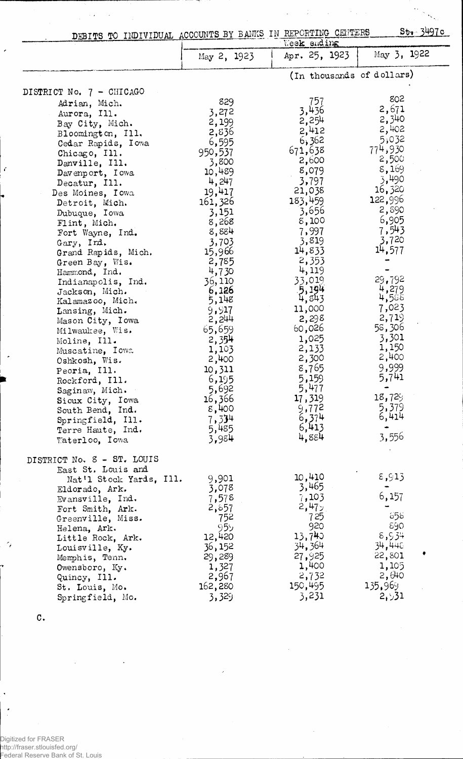| DEBITS TO INDIVIDUAL ACCOUNTS BY BANKS IN REPORTING CENTERS |             |               | $5t - 349c$               |
|-------------------------------------------------------------|-------------|---------------|---------------------------|
|                                                             |             | Week ending   |                           |
|                                                             | May 2, 1923 | Apr. 25, 1923 | May 3, 1922               |
|                                                             |             |               | (In thousands of dollars) |
| DISTRICT No. 7 - CHICAGO                                    |             |               |                           |
| Adrian, Mich.                                               | 829         | 757           | 802                       |
| Aurora, Ill.                                                | 3,272       | 3,436         | 2,671                     |
| Bay City, Mich.                                             | 2,199       | 2,254         | 2,340                     |
|                                                             | 2,836       | 2,412         | 2,402                     |
| Bloomington, Ill.                                           | 6,595       | 6,362         | 5,032                     |
| Cedar Rapids, Iowa                                          |             | 671,638       | 774,930                   |
| Chicago, Ill.                                               | 950,537     | 2,600         | 2,500                     |
| Danville, Ill.                                              | 3,800       | 8,079         | 8,169                     |
| Davenport, Iowa                                             | 10,489      | 3,797         | 3,490                     |
| Decatur, Ill.                                               | 4,247       |               | 16,320                    |
| Des Moines, Iowa                                            | 19,417      | 21,038        | 122,996                   |
| Detroit, Mich.                                              | 161,326     | 183,459       | 2,890                     |
| Dubuque, Iowa                                               | 3,151       | 3,656         |                           |
| Flint, Mich.                                                | 8,268       | 8,100         | 6,905                     |
| Fort Wayne, Ind.                                            | 8,884       | 7,997         | 7,543                     |
| Gary, Ind.                                                  | 3,703       | 3,819         | 3,720                     |
| Grand Rapids, Mich.                                         | 15,966      | 14,833        | 14,577                    |
| Green Bay, Wis.                                             | 2,785       | 2,353         |                           |
| Hammond, Ind.                                               | 4,730       | 4,119         |                           |
| Indianapolis, Ind.                                          | 36,110      | 33,019        | 29,792                    |
| Jackson, Mich.                                              | 6,126       | 5,194         | 4,279                     |
| Kalamazoo, Mich.                                            | 5,148       | 4,843         | 4,588                     |
| Lansing, Mich.                                              | 9,917       | 11,000        | 7,023                     |
| Mason City, Iowa                                            | 2,244       | 2,298         | 2,719                     |
| Milwaukee, Wis.                                             | 65,659      | 60,026        | 58,306                    |
| Moline, Ill.                                                | 2,354       | 1,025         | 3,301                     |
| Muscatine, Iowa                                             | 1,103       | 2,133         | 1,150                     |
| Oshkosh, Wis.                                               | 2,400       | 2,300         | 2,400                     |
| Peoria, Ill.                                                | 10,311      | 8,765         | 9,999                     |
| Rockford, Ill.                                              | 6,195       | 5,159         | 5,741                     |
| Saginaw, Mich.                                              | 5,692       | 5,477         |                           |
| Sioux City, Iowa                                            | 16,366      | 17,319        | 18,729                    |
| South Bend, Ind.                                            | 8,400       | 9,772         | 5,379                     |
| Springfield, Ill.                                           | 7,334       | 6,374         | 6,414                     |
| Terre Haute, Ind.                                           | 5,485       | 6,413         |                           |
| Waterloo, Iowa                                              | 3,984       | 4,884         | 3,556                     |
| DISTRICT No. 8 - ST. LOUIS                                  |             |               |                           |
| East St. Louis and                                          |             |               |                           |
| Nat'l Stock Yards, Ill.                                     | 9,901       | 10,410        | 8,913                     |
| Eldorado, Ark.                                              | 3,078       | 3,465         |                           |
| Evansville, $Ind.$                                          | 7,578       | 7,103         | 6,157                     |
| Fort Smith, Ark.                                            | 2,857       | 2,47          |                           |
| Greenville, Miss.                                           | 752         | 725           | 656                       |
| Helena, Ark.                                                | 959         | 920           | 890                       |
| Little Rock, Ark.                                           | 12,420      | 13,740        | 8,534                     |
| Louisville, Ky.                                             | 36,152      | 34,364        | 34,448                    |
| Memphis, Tenn.                                              | 29,289      | 27,925        | 22,801                    |
| Owensboro, Ky.                                              | 1,327       | 1,400         | 1,105                     |
| Quincy, Ill.                                                | 2,967       | 2,732         | 2,640                     |
| St. Louis, Mo.                                              | 162,280     | 150,495       | 135,969                   |
| Springfield, Mo.                                            | 3,329       | 3,231         | 2,531                     |
|                                                             |             |               |                           |

 $\frac{1}{2}$  .

 $\mathcal{L}^{\text{max}}(\mathcal{A})$  , where  $\mathcal{L}^{\text{max}}$ 

 $\bar{z}$ 

C.

 $\label{eq:2} \frac{1}{\sqrt{2}}\int_{0}^{\infty}\frac{1}{\sqrt{2\pi}}\left(\frac{1}{\sqrt{2}}\left(\frac{1}{\sqrt{2}}\right)^{2}+\frac{1}{2}\left(\frac{1}{\sqrt{2}}\right)^{2}\right)\frac{1}{\sqrt{2}}\,d\mu_{\rm{eff}}\,d\mu_{\rm{eff}}\,d\mu_{\rm{eff}}\,d\mu_{\rm{eff}}\,d\mu_{\rm{eff}}\,d\mu_{\rm{eff}}\,d\mu_{\rm{eff}}\,d\mu_{\rm{eff}}\,d\mu_{\rm{eff}}\,d\mu_{\rm{eff}}\,d\mu_{\$ 

 $\overline{\phantom{a}}$ 

 $\epsilon$ 

 $\overline{ }$ 

 $\mathcal{L}_{\vec{\pmb{\rho}}}$ 

 $\frac{1}{2}$ 

Digitized for FRASER http://fraser.stlouisfed.org/ Federal Reserve Bank of St. Louis

 $\bar{\mathcal{A}}$ 

 $\ddot{\phantom{0}}$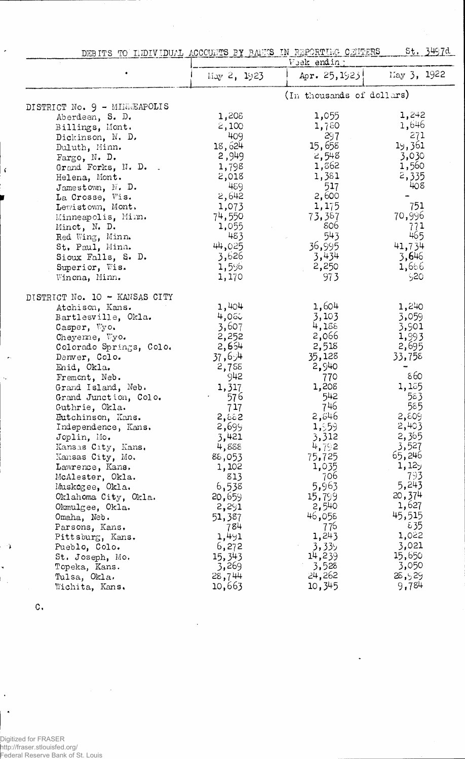| <u>St. 3497d</u><br>DEBITS TO INDIVIDUAL ACCOUNTS BY BANKS IN REPORTING CENTERS<br>Veek ending |                       |                           |                 |
|------------------------------------------------------------------------------------------------|-----------------------|---------------------------|-----------------|
|                                                                                                | $\text{May } 2, 1923$ | Apr. $25, 1923$           | May 3, 1922     |
|                                                                                                |                       | (In thousands of dollars) |                 |
| DISTRICT No. 9 - MINREAPOLIS                                                                   |                       |                           |                 |
| Aberdeen, S. D.                                                                                | 1,208                 | 1,055                     | 1,242           |
| Billings, Mont.                                                                                | 2,100                 | 1,780                     | 1,646           |
| Dickinson, N. D.                                                                               | 409                   | 297                       | 271             |
| Duluth, Minn.                                                                                  | 18,624                | 15,658                    | 19,361          |
| Fargo, N. D.                                                                                   | 2,949                 | 2,548                     | 3,030           |
| Grand Forks, N. D.                                                                             | 1,798                 | 1,362                     | 1,560           |
| Helena, Mont.                                                                                  | 2,018                 | 1,381                     | 2,335           |
| Jamestown, N. D.                                                                               | 459                   | 517                       | 408             |
| La Crosse, Wis.                                                                                | 2,642                 | 2,600                     |                 |
| Lewistown, Mont.                                                                               | 1,073                 | 1,175                     | 751             |
| Minneapolis, Minn.                                                                             | 74,550                | 73,387                    | 70,996          |
| Minot, N. D.                                                                                   | 1,055                 | 806                       | 771             |
| Red Wing, Minn.                                                                                | 483                   | 543                       | 465             |
| St. Paul, Minn.                                                                                | 44,025                | 36,995                    | 41,734          |
| Sioux Falls, S. D.                                                                             | 3,626                 | 3,434                     | 3,646           |
| Superior, Wis.                                                                                 | 1,596                 | 2,250                     | 1,666           |
| Wincna, Minn.                                                                                  | 1,170                 | 973                       | 20ز'            |
| DISTRICT No. 10 - KANSAS CITY                                                                  |                       |                           |                 |
| Atchison, Kans.                                                                                | 1,404                 | 1,604                     | 1,240           |
| Bartlesville, Okla.                                                                            | 4,050                 | 3,103                     | 3,059           |
| Casper, Wyo.                                                                                   | 3,607                 | 4,188                     | 3,901           |
| Cheyeme, Wyo.                                                                                  | 2,252                 | 2,066                     | 1,993           |
| Colorado Springs, Colo.                                                                        | 2,654                 | 2,518                     | 2,695           |
| Denver, Colo.                                                                                  | 37,694                | 35,128                    | 33,758          |
| Enid, Okla.                                                                                    | 2,755                 | 2,940                     |                 |
| Fremont, Neb.                                                                                  | 942                   | 770                       | 860             |
| Grand Island, Neb.                                                                             | 1,317                 | 1,208                     | 1,185           |
| Grand Junction, Colo.                                                                          | 576                   | 542                       | 583             |
| Guthrie, Okla.                                                                                 | 717                   | 746                       | 585             |
| Eutchinson, Kans.                                                                              | 2,882                 | 2,546                     | 2,809           |
| Independence, Kans.                                                                            | 2,699                 | 1,959                     | 2,403           |
| Joplin, Mo.                                                                                    | 3,421                 | 3,312                     | 2,365           |
| Kansas City, Kans.                                                                             | 4,888                 | 4,792                     | 3,527           |
| Kansas City, Mo.                                                                               | 88,053                | 75,725                    | 65,246          |
| Lawrence, Kans.                                                                                | 1,102                 | 1,035                     | 1,129           |
| McAlester, Okla.                                                                               | 813                   | 706                       | 793             |
| Muskogee, Okla.                                                                                | 6,538                 | 5,963                     | 5,243           |
| Oklahoma City, Okla.                                                                           | 20,659                | 15,799                    | 20,374          |
| Okmulgee, Okla.                                                                                | 2,291                 | 2,540                     | 1,627           |
| Omaha, Neb.                                                                                    | 51,387                | 46,058                    | 45,515          |
| Parsons, Kans.                                                                                 | 784                   | 776                       | ε35             |
| Pittsburg, Kans.                                                                               | 1,491                 | 1,243                     | 1,022           |
| Pueblo, Colo.                                                                                  | 6,272                 | 3,335                     | 3,021           |
| St. Joseph, Mo.                                                                                | 15,343                | 14,239                    | 15,650          |
| Topeka, Kans.                                                                                  | 3,269                 | 3,528<br>24,262           | 3,050<br>28,929 |
| Tulsa, Okla.<br>Wichita, Kans.                                                                 | 28,744<br>10,663      | 10,345                    | 9,784           |
|                                                                                                |                       |                           |                 |

 $\bar{\beta}$ 

 $\mathbf{C}$ 

 $\Delta$ l.

 $\ddot{\phantom{1}}$  $\mathbb{F}_2$ 

 $\ddot{\phantom{1}}$ 

 $\ddot{\phantom{0}}$ 

 $\epsilon$ 

.<br>Digitized for FRASER<br>http://fraser.stlouisfed.org/<br>Federal Reserve Bank of St. Louis

 $\mathcal{A}$